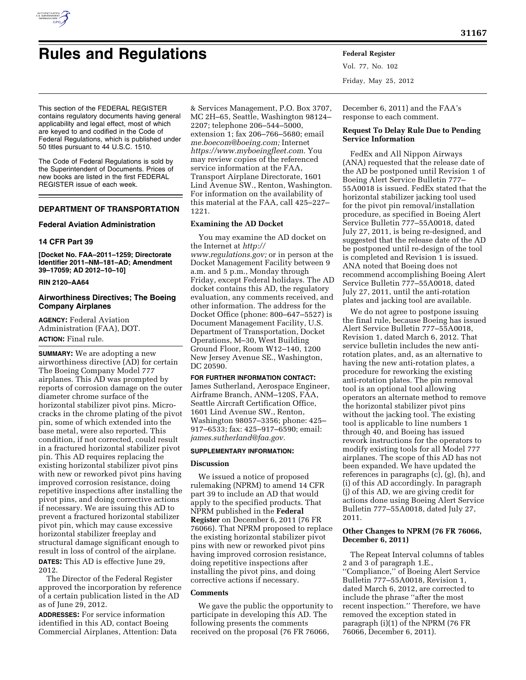

# **Rules and Regulations Federal Register**

Vol. 77, No. 102 Friday, May 25, 2012

This section of the FEDERAL REGISTER contains regulatory documents having general applicability and legal effect, most of which are keyed to and codified in the Code of Federal Regulations, which is published under 50 titles pursuant to 44 U.S.C. 1510.

The Code of Federal Regulations is sold by the Superintendent of Documents. Prices of new books are listed in the first FEDERAL REGISTER issue of each week.

# **DEPARTMENT OF TRANSPORTATION**

# **Federal Aviation Administration**

# **14 CFR Part 39**

**[Docket No. FAA–2011–1259; Directorate Identifier 2011–NM–181–AD; Amendment 39–17059; AD 2012–10–10]** 

## **RIN 2120–AA64**

# **Airworthiness Directives; The Boeing Company Airplanes**

**AGENCY:** Federal Aviation Administration (FAA), DOT. **ACTION:** Final rule.

**SUMMARY:** We are adopting a new airworthiness directive (AD) for certain The Boeing Company Model 777 airplanes. This AD was prompted by reports of corrosion damage on the outer diameter chrome surface of the horizontal stabilizer pivot pins. Microcracks in the chrome plating of the pivot pin, some of which extended into the base metal, were also reported. This condition, if not corrected, could result in a fractured horizontal stabilizer pivot pin. This AD requires replacing the existing horizontal stabilizer pivot pins with new or reworked pivot pins having improved corrosion resistance, doing repetitive inspections after installing the pivot pins, and doing corrective actions if necessary. We are issuing this AD to prevent a fractured horizontal stabilizer pivot pin, which may cause excessive horizontal stabilizer freeplay and structural damage significant enough to result in loss of control of the airplane. **DATES:** This AD is effective June 29, 2012.

The Director of the Federal Register approved the incorporation by reference of a certain publication listed in the AD as of June 29, 2012.

**ADDRESSES:** For service information identified in this AD, contact Boeing Commercial Airplanes, Attention: Data

& Services Management, P.O. Box 3707, MC 2H–65, Seattle, Washington 98124– 2207; telephone 206–544–5000, extension 1; fax 206–766–5680; email *[me.boecom@boeing.com;](mailto:me.boecom@boeing.com)* Internet *[https://www.myboeingfleet.com.](https://www.myboeingfleet.com)* You may review copies of the referenced service information at the FAA, Transport Airplane Directorate, 1601 Lind Avenue SW., Renton, Washington. For information on the availability of this material at the FAA, call 425–227– 1221.

# **Examining the AD Docket**

You may examine the AD docket on the Internet at *[http://](http://www.regulations.gov)  [www.regulations.gov;](http://www.regulations.gov)* or in person at the Docket Management Facility between 9 a.m. and 5 p.m., Monday through Friday, except Federal holidays. The AD docket contains this AD, the regulatory evaluation, any comments received, and other information. The address for the Docket Office (phone: 800–647–5527) is Document Management Facility, U.S. Department of Transportation, Docket Operations, M–30, West Building Ground Floor, Room W12–140, 1200 New Jersey Avenue SE., Washington, DC 20590.

## **FOR FURTHER INFORMATION CONTACT:**

James Sutherland, Aerospace Engineer, Airframe Branch, ANM–120S, FAA, Seattle Aircraft Certification Office, 1601 Lind Avenue SW., Renton, Washington 98057–3356; phone: 425– 917–6533; fax: 425–917–6590; email: *[james.sutherland@faa.gov.](mailto:james.sutherland@faa.gov)* 

## **SUPPLEMENTARY INFORMATION:**

# **Discussion**

We issued a notice of proposed rulemaking (NPRM) to amend 14 CFR part 39 to include an AD that would apply to the specified products. That NPRM published in the **Federal Register** on December 6, 2011 (76 FR 76066). That NPRM proposed to replace the existing horizontal stabilizer pivot pins with new or reworked pivot pins having improved corrosion resistance, doing repetitive inspections after installing the pivot pins, and doing corrective actions if necessary.

# **Comments**

We gave the public the opportunity to participate in developing this AD. The following presents the comments received on the proposal (76 FR 76066,

December 6, 2011) and the FAA's response to each comment.

# **Request To Delay Rule Due to Pending Service Information**

FedEx and All Nippon Airways (ANA) requested that the release date of the AD be postponed until Revision 1 of Boeing Alert Service Bulletin 777– 55A0018 is issued. FedEx stated that the horizontal stabilizer jacking tool used for the pivot pin removal/installation procedure, as specified in Boeing Alert Service Bulletin 777–55A0018, dated July 27, 2011, is being re-designed, and suggested that the release date of the AD be postponed until re-design of the tool is completed and Revision 1 is issued. ANA noted that Boeing does not recommend accomplishing Boeing Alert Service Bulletin 777–55A0018, dated July 27, 2011, until the anti-rotation plates and jacking tool are available.

We do not agree to postpone issuing the final rule, because Boeing has issued Alert Service Bulletin 777–55A0018, Revision 1, dated March 6, 2012. That service bulletin includes the new antirotation plates, and, as an alternative to having the new anti-rotation plates, a procedure for reworking the existing anti-rotation plates. The pin removal tool is an optional tool allowing operators an alternate method to remove the horizontal stabilizer pivot pins without the jacking tool. The existing tool is applicable to line numbers 1 through 40, and Boeing has issued rework instructions for the operators to modify existing tools for all Model 777 airplanes. The scope of this AD has not been expanded. We have updated the references in paragraphs (c), (g), (h), and (i) of this AD accordingly. In paragraph (j) of this AD, we are giving credit for actions done using Boeing Alert Service Bulletin 777–55A0018, dated July 27, 2011.

# **Other Changes to NPRM (76 FR 76066, December 6, 2011)**

The Repeat Interval columns of tables 2 and 3 of paragraph 1.E., ''Compliance,'' of Boeing Alert Service Bulletin 777–55A0018, Revision 1, dated March 6, 2012, are corrected to include the phrase ''after the most recent inspection.'' Therefore, we have removed the exception stated in paragraph (i)(1) of the NPRM (76 FR 76066, December 6, 2011).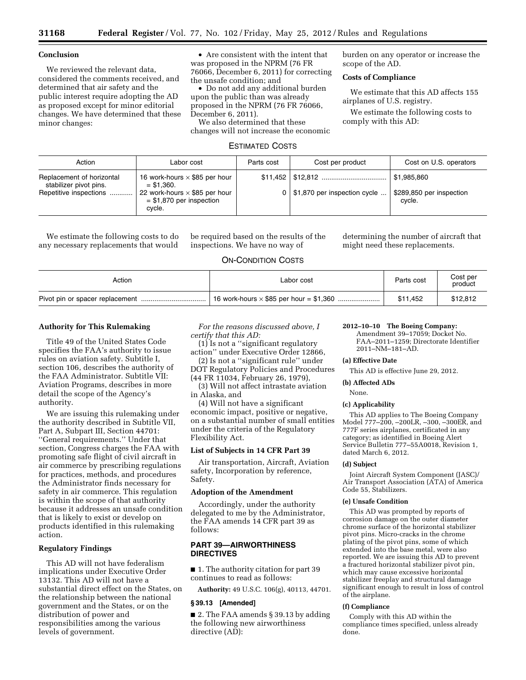## **Conclusion**

We reviewed the relevant data, considered the comments received, and determined that air safety and the public interest require adopting the AD as proposed except for minor editorial changes. We have determined that these minor changes:

• Are consistent with the intent that was proposed in the NPRM (76 FR 76066, December 6, 2011) for correcting the unsafe condition; and

• Do not add any additional burden upon the public than was already proposed in the NPRM (76 FR 76066, December 6, 2011).

We also determined that these changes will not increase the economic burden on any operator or increase the scope of the AD.

## **Costs of Compliance**

We estimate that this AD affects 155 airplanes of U.S. registry.

We estimate the following costs to comply with this AD:

## ESTIMATED COSTS

| Action                                                                        | Labor cost                                                                                                                           | Parts cost | Cost per product                   | Cost on U.S. operators                            |
|-------------------------------------------------------------------------------|--------------------------------------------------------------------------------------------------------------------------------------|------------|------------------------------------|---------------------------------------------------|
| Replacement of horizontal<br>stabilizer pivot pins.<br>Repetitive inspections | 16 work-hours $\times$ \$85 per hour<br>$=$ \$1.360.<br>22 work-hours $\times$ \$85 per hour<br>$=$ \$1,870 per inspection<br>cvcle. |            | $0$   \$1,870 per inspection cycle | \$1.985.860<br>\$289,850 per inspection<br>cycle. |

We estimate the following costs to do any necessary replacements that would

be required based on the results of the inspections. We have no way of

determining the number of aircraft that might need these replacements.

# ON-CONDITION COSTS

| Action | Labor cost | Parts cost | Cost per<br>product |
|--------|------------|------------|---------------------|
|        |            | \$11.452   | \$12,812            |

## **Authority for This Rulemaking**

Title 49 of the United States Code specifies the FAA's authority to issue rules on aviation safety. Subtitle I, section 106, describes the authority of the FAA Administrator. Subtitle VII: Aviation Programs, describes in more detail the scope of the Agency's authority.

We are issuing this rulemaking under the authority described in Subtitle VII, Part A, Subpart III, Section 44701: ''General requirements.'' Under that section, Congress charges the FAA with promoting safe flight of civil aircraft in air commerce by prescribing regulations for practices, methods, and procedures the Administrator finds necessary for safety in air commerce. This regulation is within the scope of that authority because it addresses an unsafe condition that is likely to exist or develop on products identified in this rulemaking action.

# **Regulatory Findings**

This AD will not have federalism implications under Executive Order 13132. This AD will not have a substantial direct effect on the States, on the relationship between the national government and the States, or on the distribution of power and responsibilities among the various levels of government.

*For the reasons discussed above, I certify that this AD:* 

(1) Is not a ''significant regulatory action'' under Executive Order 12866,

(2) Is not a ''significant rule'' under DOT Regulatory Policies and Procedures (44 FR 11034, February 26, 1979),

(3) Will not affect intrastate aviation

in Alaska, and

(4) Will not have a significant economic impact, positive or negative, on a substantial number of small entities under the criteria of the Regulatory Flexibility Act.

# **List of Subjects in 14 CFR Part 39**

Air transportation, Aircraft, Aviation safety, Incorporation by reference, Safety.

#### **Adoption of the Amendment**

Accordingly, under the authority delegated to me by the Administrator, the FAA amends 14 CFR part 39 as follows:

# **PART 39—AIRWORTHINESS DIRECTIVES**

■ 1. The authority citation for part 39 continues to read as follows:

**Authority:** 49 U.S.C. 106(g), 40113, 44701.

# **§ 39.13 [Amended]**

■ 2. The FAA amends § 39.13 by adding the following new airworthiness directive (AD):

## **2012–10–10 The Boeing Company:**

Amendment 39–17059; Docket No. FAA–2011–1259; Directorate Identifier 2011–NM–181–AD.

#### **(a) Effective Date**

This AD is effective June 29, 2012.

#### **(b) Affected ADs**

None.

#### **(c) Applicability**

This AD applies to The Boeing Company Model 777–200, –200LR, –300, –300ER, and 777F series airplanes, certificated in any category; as identified in Boeing Alert Service Bulletin 777–55A0018, Revision 1, dated March 6, 2012.

#### **(d) Subject**

Joint Aircraft System Component (JASC)/ Air Transport Association (ATA) of America Code 55, Stabilizers.

#### **(e) Unsafe Condition**

This AD was prompted by reports of corrosion damage on the outer diameter chrome surface of the horizontal stabilizer pivot pins. Micro-cracks in the chrome plating of the pivot pins, some of which extended into the base metal, were also reported. We are issuing this AD to prevent a fractured horizontal stabilizer pivot pin, which may cause excessive horizontal stabilizer freeplay and structural damage significant enough to result in loss of control of the airplane.

#### **(f) Compliance**

Comply with this AD within the compliance times specified, unless already done.